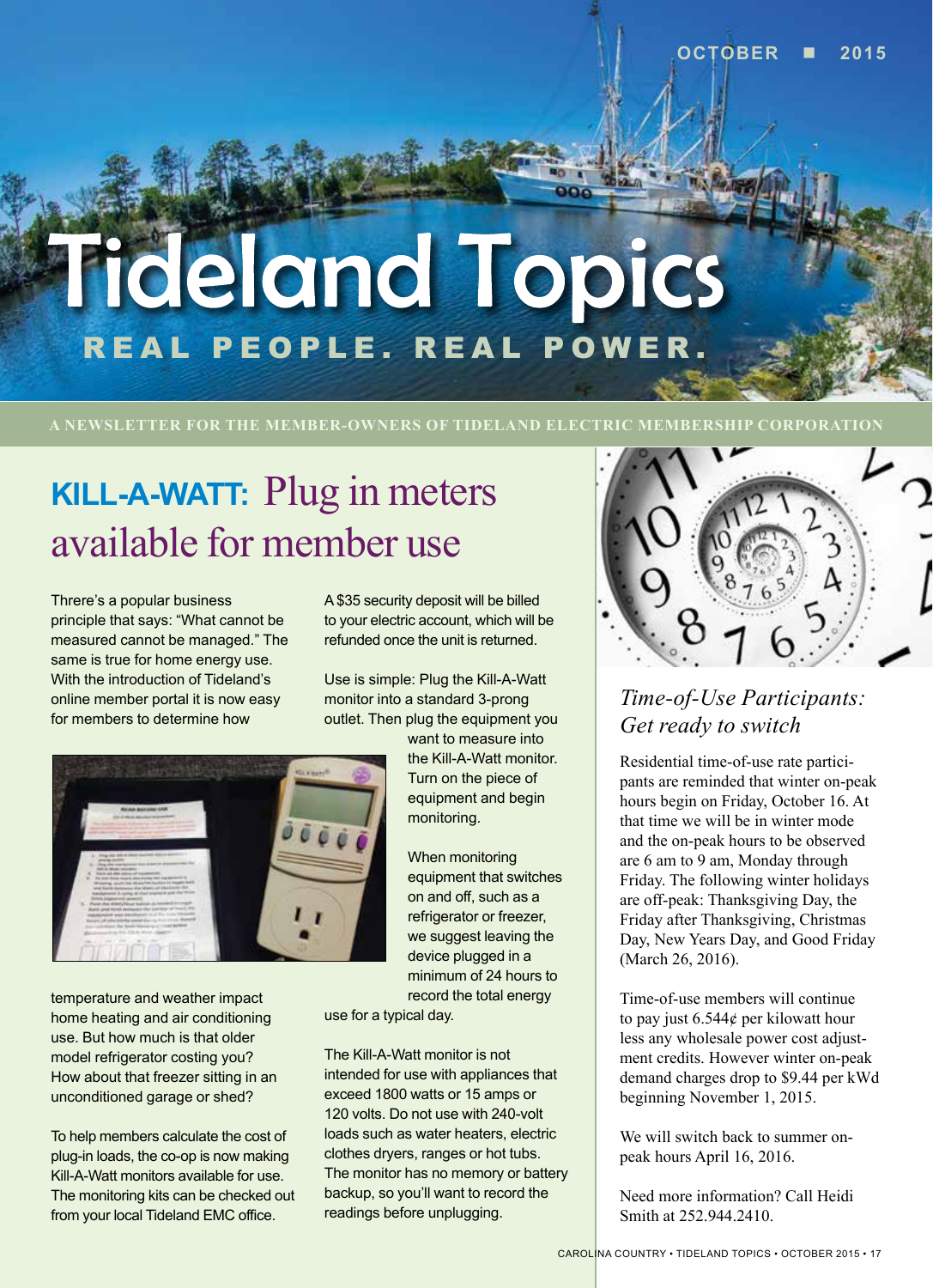# **Tideland Topics** REAL PEOPLE. REAL POWER.

**A NEWSLETTER FOR THE MEMBER-OWNERS OF TIDELAND ELECTRIC MEMBERSHIP CORPORATION**

# **KILL-A-WATT:** Plug in meters available for member use

Threre's a popular business principle that says: "What cannot be measured cannot be managed." The same is true for home energy use. With the introduction of Tideland's online member portal it is now easy for members to determine how



temperature and weather impact home heating and air conditioning use. But how much is that older model refrigerator costing you? How about that freezer sitting in an unconditioned garage or shed?

To help members calculate the cost of plug-in loads, the co-op is now making Kill-A-Watt monitors available for use. The monitoring kits can be checked out from your local Tideland EMC office.

A \$35 security deposit will be billed to your electric account, which will be refunded once the unit is returned.

Use is simple: Plug the Kill-A-Watt monitor into a standard 3-prong outlet. Then plug the equipment you

> want to measure into the Kill-A-Watt monitor. Turn on the piece of equipment and begin monitoring.

When monitoring equipment that switches on and off, such as a refrigerator or freezer, we suggest leaving the device plugged in a minimum of 24 hours to record the total energy

use for a typical day.

The Kill-A-Watt monitor is not intended for use with appliances that exceed 1800 watts or 15 amps or 120 volts. Do not use with 240-volt loads such as water heaters, electric clothes dryers, ranges or hot tubs. The monitor has no memory or battery backup, so you'll want to record the readings before unplugging.



### *Time-of-Use Participants: Get ready to switch*

Residential time-of-use rate partici-Friday. The following winter holidays are off-peak: Thanksgiving Day, the Friday after Thanksgiving, Christmas Day, New Years Day, and Good Friday (March 26, 2016).

Time-of-use members will continue to pay just 6.544¢ per kilowatt hour less any wholesale power cost adjustment credits. However winter on-peak demand charges drop to \$9.44 per kWd beginning November 1, 2015.

We will switch back to summer onpeak hours April 16, 2016.

Need more information? Call Heidi Smith at 252.944.2410.

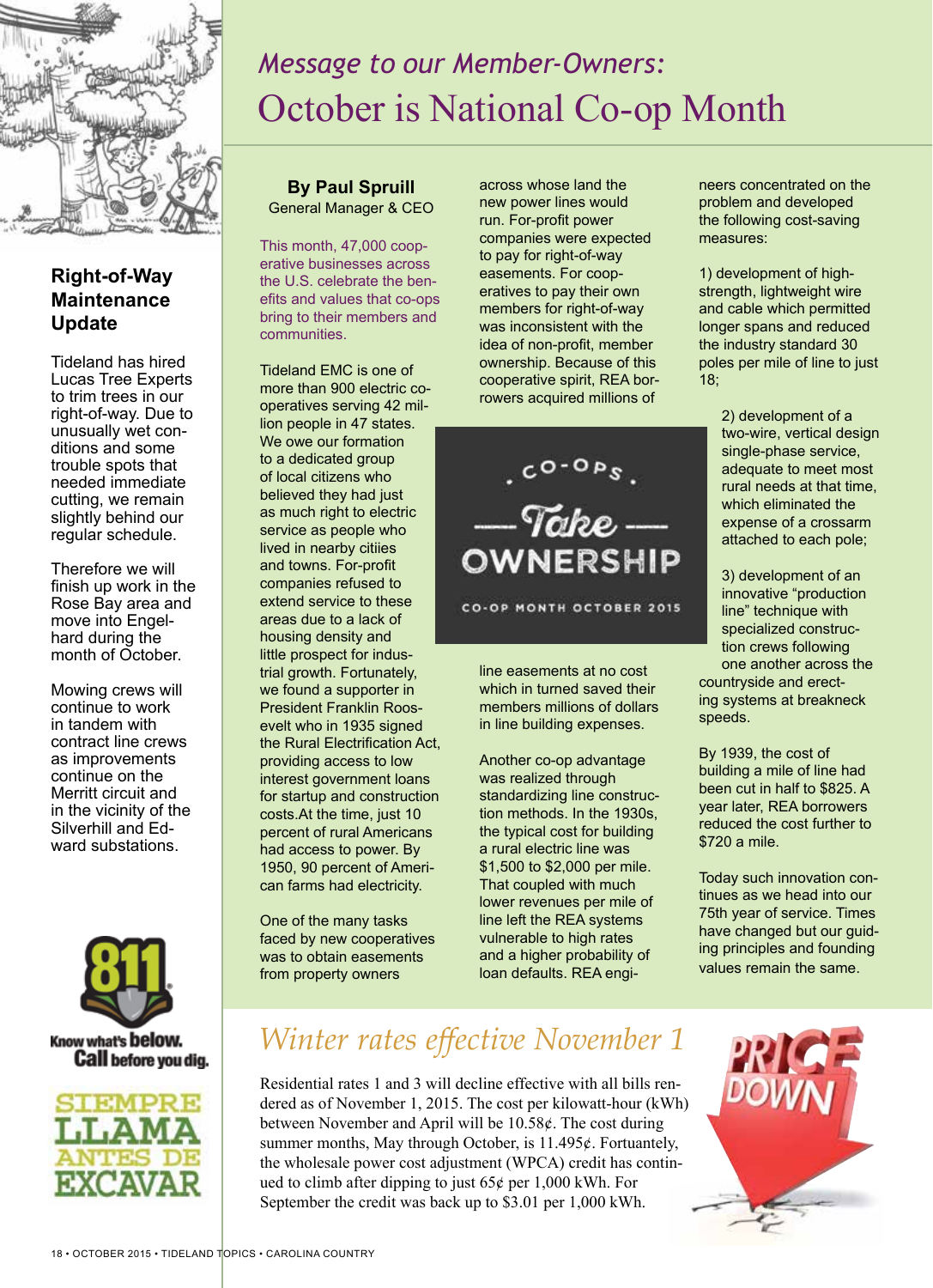

#### **Right-of-Way Maintenance Update**

Tideland has hired Lucas Tree Experts to trim trees in our right-of-way. Due to unusually wet conditions and some trouble spots that needed immediate cutting, we remain slightly behind our regular schedule.

Therefore we will finish up work in the Rose Bay area and move into Engelhard during the month of October.

Mowing crews will continue to work in tandem with contract line crews as improvements continue on the Merritt circuit and in the vicinity of the Silverhill and Edward substations.



#### Know what's below. **Call** before you dig.



## *Message to our Member-Owners:* October is National Co-op Month

**By Paul Spruill** General Manager & CEO

This month, 47,000 cooperative businesses across the U.S. celebrate the benefits and values that co-ops bring to their members and communities.

Tideland EMC is one of more than 900 electric cooperatives serving 42 million people in 47 states. We owe our formation to a dedicated group of local citizens who believed they had just as much right to electric service as people who lived in nearby citiies and towns. For-profit companies refused to extend service to these areas due to a lack of housing density and little prospect for industrial growth. Fortunately, we found a supporter in President Franklin Roosevelt who in 1935 signed the Rural Electrification Act, providing access to low interest government loans for startup and construction costs.At the time, just 10 percent of rural Americans had access to power. By 1950, 90 percent of American farms had electricity.

One of the many tasks faced by new cooperatives was to obtain easements from property owners

across whose land the new power lines would run. For-profit power companies were expected to pay for right-of-way easements. For cooperatives to pay their own members for right-of-way was inconsistent with the idea of non-profit, member ownership. Because of this cooperative spirit, REA borrowers acquired millions of



CO-OP MONTH OCTOBER 2015

line easements at no cost which in turned saved their members millions of dollars in line building expenses.

Another co-op advantage was realized through standardizing line construction methods. In the 1930s, the typical cost for building a rural electric line was \$1,500 to \$2,000 per mile. That coupled with much lower revenues per mile of line left the REA systems vulnerable to high rates and a higher probability of loan defaults. REA engineers concentrated on the problem and developed the following cost-saving measures:

1) development of highstrength, lightweight wire and cable which permitted longer spans and reduced the industry standard 30 poles per mile of line to just 18;

> 2) development of a two-wire, vertical design single-phase service, adequate to meet most rural needs at that time, which eliminated the expense of a crossarm attached to each pole;

3) development of an innovative "production line" technique with specialized construction crews following one another across the countryside and erecting systems at breakneck speeds.

By 1939, the cost of building a mile of line had been cut in half to \$825. A year later, REA borrowers reduced the cost further to \$720 a mile.

Today such innovation continues as we head into our 75th year of service. Times have changed but our guiding principles and founding values remain the same.

### *Winter rates effective November 1*

Residential rates 1 and 3 will decline effective with all bills rendered as of November 1, 2015. The cost per kilowatt-hour (kWh) between November and April will be 10.58¢. The cost during summer months, May through October, is 11.495¢. Fortuantely, the wholesale power cost adjustment (WPCA) credit has continued to climb after dipping to just  $65¢$  per 1,000 kWh. For September the credit was back up to \$3.01 per 1,000 kWh.

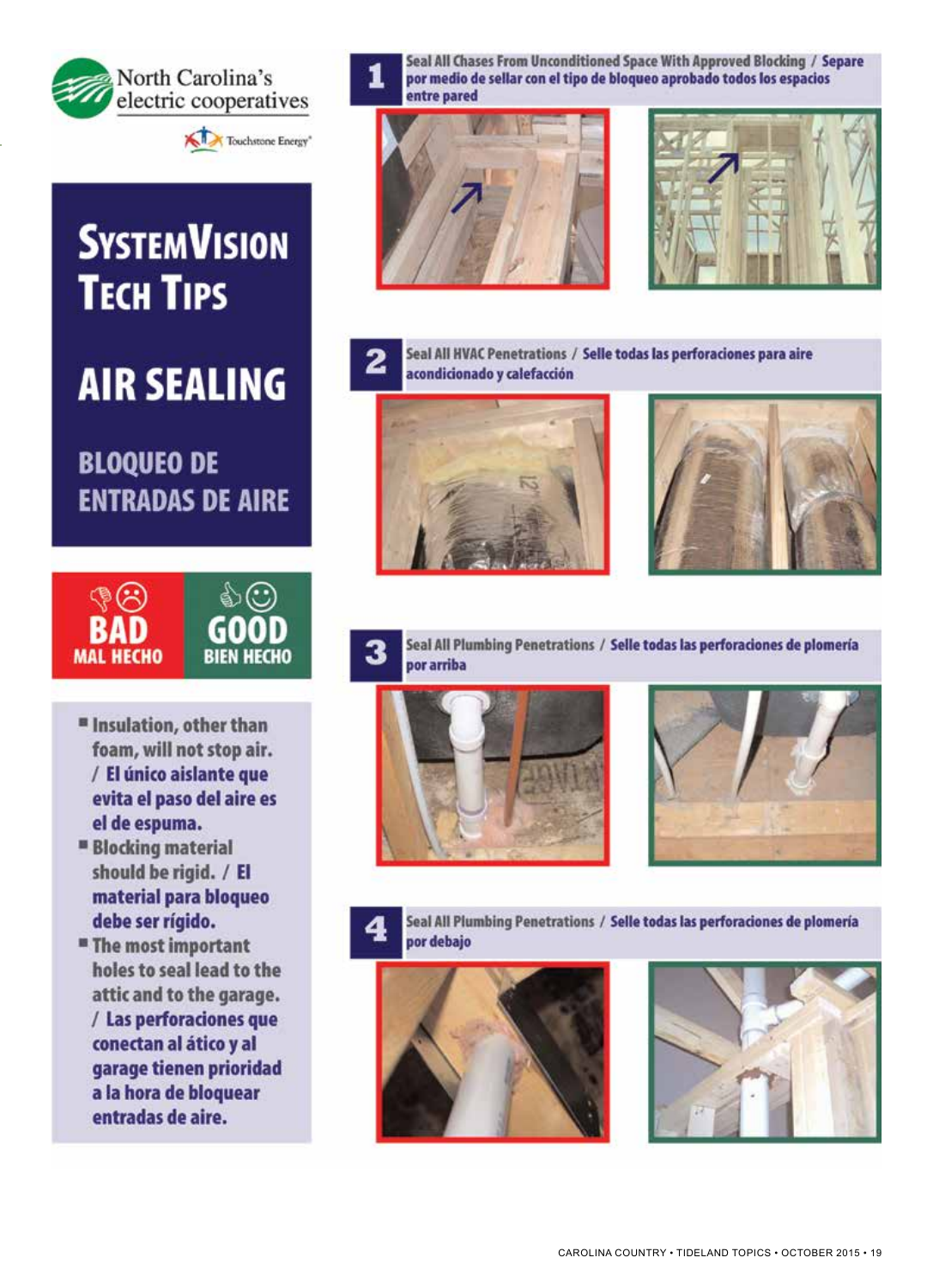



# **SYSTEMVISION TECH TIPS**

**AIR SEALING** 

**BLOQUEO DE ENTRADAS DE AIRE** 



- *"* Insulation, other than foam, will not stop air. / El único aislante que evita el paso del aire es el de espuma.
- **Blocking material** should be rigid. / El material para bloqueo debe ser rígido.
- **"** The most important holes to seal lead to the attic and to the garage. / Las perforaciones que conectan al ático y al garage tienen prioridad a la hora de bloquear entradas de aire.

Seal All Chases From Unconditioned Space With Approved Blocking / Separe por medio de sellar con el tipo de bloqueo aprobado todos los espacios entre pared







Seal All HVAC Penetrations / Selle todas las perforaciones para aire acondicionado y calefacción







Seal All Plumbing Penetrations / Selle todas las perforaciones de plomería por arriba







Seal All Plumbing Penetrations / Selle todas las perforaciones de plomería por debajo